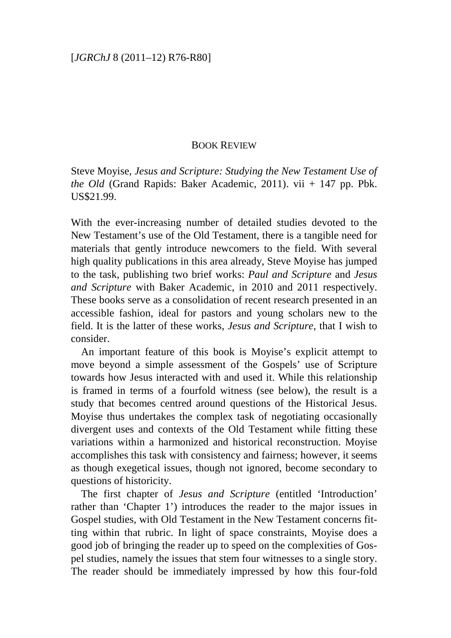## BOOK REVIEW

Steve Moyise, *Jesus and Scripture: Studying the New Testament Use of the Old* (Grand Rapids: Baker Academic, 2011). vii + 147 pp. Pbk. US\$21.99.

With the ever-increasing number of detailed studies devoted to the New Testament's use of the Old Testament, there is a tangible need for materials that gently introduce newcomers to the field. With several high quality publications in this area already, Steve Moyise has jumped to the task, publishing two brief works: *Paul and Scripture* and *Jesus and Scripture* with Baker Academic, in 2010 and 2011 respectively. These books serve as a consolidation of recent research presented in an accessible fashion, ideal for pastors and young scholars new to the field. It is the latter of these works, *Jesus and Scripture*, that I wish to consider.

An important feature of this book is Moyise's explicit attempt to move beyond a simple assessment of the Gospels' use of Scripture towards how Jesus interacted with and used it. While this relationship is framed in terms of a fourfold witness (see below), the result is a study that becomes centred around questions of the Historical Jesus. Moyise thus undertakes the complex task of negotiating occasionally divergent uses and contexts of the Old Testament while fitting these variations within a harmonized and historical reconstruction. Moyise accomplishes this task with consistency and fairness; however, it seems as though exegetical issues, though not ignored, become secondary to questions of historicity.

The first chapter of *Jesus and Scripture* (entitled 'Introduction' rather than 'Chapter 1') introduces the reader to the major issues in Gospel studies, with Old Testament in the New Testament concerns fitting within that rubric. In light of space constraints, Moyise does a good job of bringing the reader up to speed on the complexities of Gospel studies, namely the issues that stem four witnesses to a single story. The reader should be immediately impressed by how this four-fold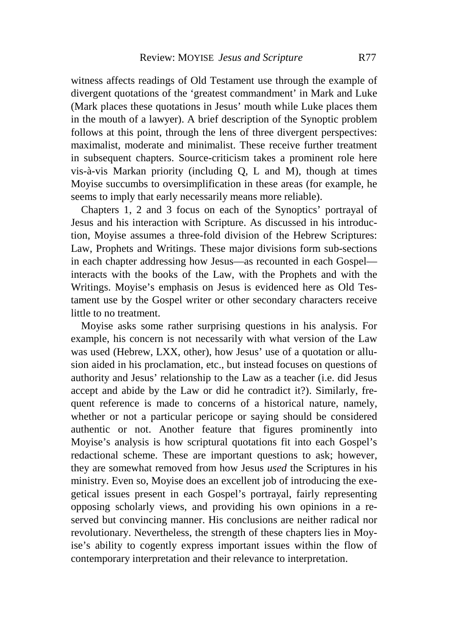witness affects readings of Old Testament use through the example of divergent quotations of the 'greatest commandment' in Mark and Luke (Mark places these quotations in Jesus' mouth while Luke places them in the mouth of a lawyer). A brief description of the Synoptic problem follows at this point, through the lens of three divergent perspectives: maximalist, moderate and minimalist. These receive further treatment in subsequent chapters. Source-criticism takes a prominent role here vis-à-vis Markan priority (including Q, L and M), though at times Moyise succumbs to oversimplification in these areas (for example, he seems to imply that early necessarily means more reliable).

Chapters 1, 2 and 3 focus on each of the Synoptics' portrayal of Jesus and his interaction with Scripture. As discussed in his introduction, Moyise assumes a three-fold division of the Hebrew Scriptures: Law, Prophets and Writings. These major divisions form sub-sections in each chapter addressing how Jesus—as recounted in each Gospel interacts with the books of the Law, with the Prophets and with the Writings. Moyise's emphasis on Jesus is evidenced here as Old Testament use by the Gospel writer or other secondary characters receive little to no treatment.

Moyise asks some rather surprising questions in his analysis. For example, his concern is not necessarily with what version of the Law was used (Hebrew, LXX, other), how Jesus' use of a quotation or allusion aided in his proclamation, etc., but instead focuses on questions of authority and Jesus' relationship to the Law as a teacher (i.e. did Jesus accept and abide by the Law or did he contradict it?). Similarly, frequent reference is made to concerns of a historical nature, namely, whether or not a particular pericope or saying should be considered authentic or not. Another feature that figures prominently into Moyise's analysis is how scriptural quotations fit into each Gospel's redactional scheme. These are important questions to ask; however, they are somewhat removed from how Jesus *used* the Scriptures in his ministry. Even so, Moyise does an excellent job of introducing the exegetical issues present in each Gospel's portrayal, fairly representing opposing scholarly views, and providing his own opinions in a reserved but convincing manner. His conclusions are neither radical nor revolutionary. Nevertheless, the strength of these chapters lies in Moyise's ability to cogently express important issues within the flow of contemporary interpretation and their relevance to interpretation.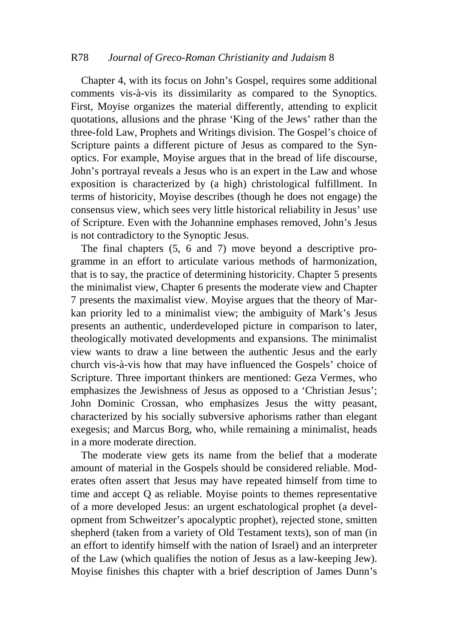## R78 *Journal of Greco-Roman Christianity and Judaism* 8

Chapter 4, with its focus on John's Gospel, requires some additional comments vis-à-vis its dissimilarity as compared to the Synoptics. First, Moyise organizes the material differently, attending to explicit quotations, allusions and the phrase 'King of the Jews' rather than the three-fold Law, Prophets and Writings division. The Gospel's choice of Scripture paints a different picture of Jesus as compared to the Synoptics. For example, Moyise argues that in the bread of life discourse, John's portrayal reveals a Jesus who is an expert in the Law and whose exposition is characterized by (a high) christological fulfillment. In terms of historicity, Moyise describes (though he does not engage) the consensus view, which sees very little historical reliability in Jesus' use of Scripture. Even with the Johannine emphases removed, John's Jesus is not contradictory to the Synoptic Jesus.

The final chapters (5, 6 and 7) move beyond a descriptive programme in an effort to articulate various methods of harmonization, that is to say, the practice of determining historicity. Chapter 5 presents the minimalist view, Chapter 6 presents the moderate view and Chapter 7 presents the maximalist view. Moyise argues that the theory of Markan priority led to a minimalist view; the ambiguity of Mark's Jesus presents an authentic, underdeveloped picture in comparison to later, theologically motivated developments and expansions. The minimalist view wants to draw a line between the authentic Jesus and the early church vis-à-vis how that may have influenced the Gospels' choice of Scripture. Three important thinkers are mentioned: Geza Vermes, who emphasizes the Jewishness of Jesus as opposed to a 'Christian Jesus'; John Dominic Crossan, who emphasizes Jesus the witty peasant, characterized by his socially subversive aphorisms rather than elegant exegesis; and Marcus Borg, who, while remaining a minimalist, heads in a more moderate direction.

The moderate view gets its name from the belief that a moderate amount of material in the Gospels should be considered reliable. Moderates often assert that Jesus may have repeated himself from time to time and accept Q as reliable. Moyise points to themes representative of a more developed Jesus: an urgent eschatological prophet (a development from Schweitzer's apocalyptic prophet), rejected stone, smitten shepherd (taken from a variety of Old Testament texts), son of man (in an effort to identify himself with the nation of Israel) and an interpreter of the Law (which qualifies the notion of Jesus as a law-keeping Jew). Moyise finishes this chapter with a brief description of James Dunn's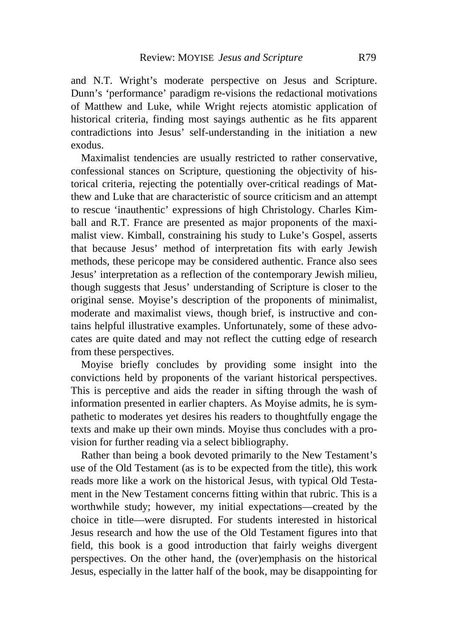and N.T. Wright's moderate perspective on Jesus and Scripture. Dunn's 'performance' paradigm re-visions the redactional motivations of Matthew and Luke, while Wright rejects atomistic application of historical criteria, finding most sayings authentic as he fits apparent contradictions into Jesus' self-understanding in the initiation a new exodus.

Maximalist tendencies are usually restricted to rather conservative, confessional stances on Scripture, questioning the objectivity of historical criteria, rejecting the potentially over-critical readings of Matthew and Luke that are characteristic of source criticism and an attempt to rescue 'inauthentic' expressions of high Christology. Charles Kimball and R.T. France are presented as major proponents of the maximalist view. Kimball, constraining his study to Luke's Gospel, asserts that because Jesus' method of interpretation fits with early Jewish methods, these pericope may be considered authentic. France also sees Jesus' interpretation as a reflection of the contemporary Jewish milieu, though suggests that Jesus' understanding of Scripture is closer to the original sense. Moyise's description of the proponents of minimalist, moderate and maximalist views, though brief, is instructive and contains helpful illustrative examples. Unfortunately, some of these advocates are quite dated and may not reflect the cutting edge of research from these perspectives.

Moyise briefly concludes by providing some insight into the convictions held by proponents of the variant historical perspectives. This is perceptive and aids the reader in sifting through the wash of information presented in earlier chapters. As Moyise admits, he is sympathetic to moderates yet desires his readers to thoughtfully engage the texts and make up their own minds. Moyise thus concludes with a provision for further reading via a select bibliography.

Rather than being a book devoted primarily to the New Testament's use of the Old Testament (as is to be expected from the title), this work reads more like a work on the historical Jesus, with typical Old Testament in the New Testament concerns fitting within that rubric. This is a worthwhile study; however, my initial expectations—created by the choice in title—were disrupted. For students interested in historical Jesus research and how the use of the Old Testament figures into that field, this book is a good introduction that fairly weighs divergent perspectives. On the other hand, the (over)emphasis on the historical Jesus, especially in the latter half of the book, may be disappointing for